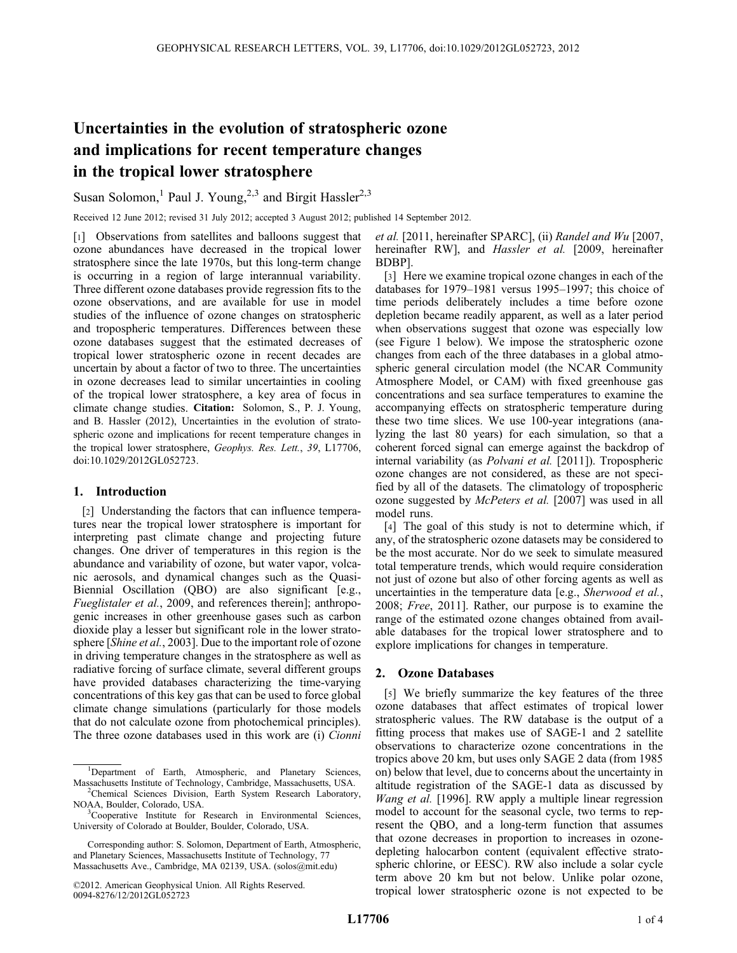# Uncertainties in the evolution of stratospheric ozone and implications for recent temperature changes in the tropical lower stratosphere

Susan Solomon,<sup>1</sup> Paul J. Young,<sup>2,3</sup> and Birgit Hassler<sup>2,3</sup>

Received 12 June 2012; revised 31 July 2012; accepted 3 August 2012; published 14 September 2012.

[1] Observations from satellites and balloons suggest that ozone abundances have decreased in the tropical lower stratosphere since the late 1970s, but this long-term change is occurring in a region of large interannual variability. Three different ozone databases provide regression fits to the ozone observations, and are available for use in model studies of the influence of ozone changes on stratospheric and tropospheric temperatures. Differences between these ozone databases suggest that the estimated decreases of tropical lower stratospheric ozone in recent decades are uncertain by about a factor of two to three. The uncertainties in ozone decreases lead to similar uncertainties in cooling of the tropical lower stratosphere, a key area of focus in climate change studies. Citation: Solomon, S., P. J. Young, and B. Hassler (2012), Uncertainties in the evolution of stratospheric ozone and implications for recent temperature changes in the tropical lower stratosphere, Geophys. Res. Lett., 39, L17706, doi:10.1029/2012GL052723.

## 1. Introduction

[2] Understanding the factors that can influence temperatures near the tropical lower stratosphere is important for interpreting past climate change and projecting future changes. One driver of temperatures in this region is the abundance and variability of ozone, but water vapor, volcanic aerosols, and dynamical changes such as the Quasi-Biennial Oscillation (QBO) are also significant [e.g., Fueglistaler et al., 2009, and references therein]; anthropogenic increases in other greenhouse gases such as carbon dioxide play a lesser but significant role in the lower stratosphere [Shine et al., 2003]. Due to the important role of ozone in driving temperature changes in the stratosphere as well as radiative forcing of surface climate, several different groups have provided databases characterizing the time-varying concentrations of this key gas that can be used to force global climate change simulations (particularly for those models that do not calculate ozone from photochemical principles). The three ozone databases used in this work are (i) Cionni et al. [2011, hereinafter SPARC], (ii) Randel and Wu [2007, hereinafter RW], and *Hassler et al.* [2009, hereinafter BDBP].

[3] Here we examine tropical ozone changes in each of the databases for 1979–1981 versus 1995–1997; this choice of time periods deliberately includes a time before ozone depletion became readily apparent, as well as a later period when observations suggest that ozone was especially low (see Figure 1 below). We impose the stratospheric ozone changes from each of the three databases in a global atmospheric general circulation model (the NCAR Community Atmosphere Model, or CAM) with fixed greenhouse gas concentrations and sea surface temperatures to examine the accompanying effects on stratospheric temperature during these two time slices. We use 100-year integrations (analyzing the last 80 years) for each simulation, so that a coherent forced signal can emerge against the backdrop of internal variability (as Polvani et al. [2011]). Tropospheric ozone changes are not considered, as these are not specified by all of the datasets. The climatology of tropospheric ozone suggested by McPeters et al. [2007] was used in all model runs.

[4] The goal of this study is not to determine which, if any, of the stratospheric ozone datasets may be considered to be the most accurate. Nor do we seek to simulate measured total temperature trends, which would require consideration not just of ozone but also of other forcing agents as well as uncertainties in the temperature data [e.g., Sherwood et al., 2008; Free, 2011]. Rather, our purpose is to examine the range of the estimated ozone changes obtained from available databases for the tropical lower stratosphere and to explore implications for changes in temperature.

## 2. Ozone Databases

[5] We briefly summarize the key features of the three ozone databases that affect estimates of tropical lower stratospheric values. The RW database is the output of a fitting process that makes use of SAGE-1 and 2 satellite observations to characterize ozone concentrations in the tropics above 20 km, but uses only SAGE 2 data (from 1985 on) below that level, due to concerns about the uncertainty in altitude registration of the SAGE-1 data as discussed by Wang et al. [1996]. RW apply a multiple linear regression model to account for the seasonal cycle, two terms to represent the QBO, and a long-term function that assumes that ozone decreases in proportion to increases in ozonedepleting halocarbon content (equivalent effective stratospheric chlorine, or EESC). RW also include a solar cycle term above 20 km but not below. Unlike polar ozone, tropical lower stratospheric ozone is not expected to be

<sup>&</sup>lt;sup>1</sup>Department of Earth, Atmospheric, and Planetary Sciences, Massachusetts Institute of Technology, Cambridge, Massachusetts, USA. <sup>2</sup> <sup>2</sup>Chemical Sciences Division, Earth System Research Laboratory,

NOAA, Boulder, Colorado, USA. <sup>3</sup> <sup>3</sup>Cooperative Institute for Research in Environmental Sciences,

University of Colorado at Boulder, Boulder, Colorado, USA.

Corresponding author: S. Solomon, Department of Earth, Atmospheric, and Planetary Sciences, Massachusetts Institute of Technology, 77 Massachusetts Ave., Cambridge, MA 02139, USA. (solos@mit.edu)

<sup>©2012.</sup> American Geophysical Union. All Rights Reserved. 0094-8276/12/2012GL052723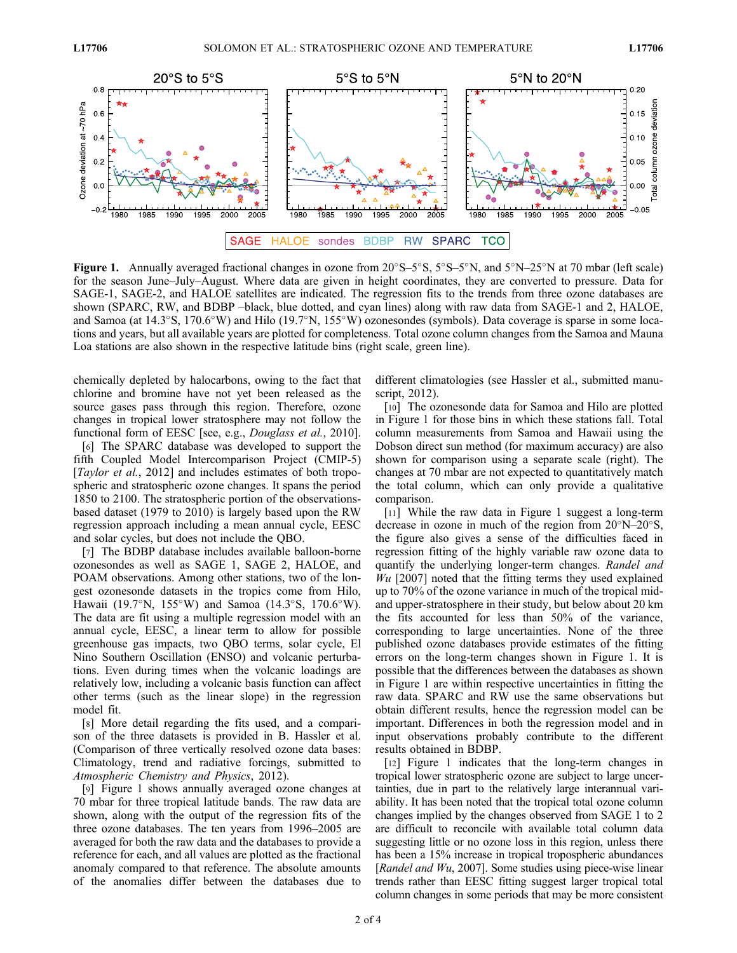

Figure 1. Annually averaged fractional changes in ozone from  $20^{\circ}S - 5^{\circ}S$ ,  $5^{\circ}S - 5^{\circ}N$ , and  $5^{\circ}N - 25^{\circ}N$  at 70 mbar (left scale) for the season June–July–August. Where data are given in height coordinates, they are converted to pressure. Data for SAGE-1, SAGE-2, and HALOE satellites are indicated. The regression fits to the trends from three ozone databases are shown (SPARC, RW, and BDBP –black, blue dotted, and cyan lines) along with raw data from SAGE-1 and 2, HALOE, and Samoa (at  $14.3^{\circ}$ S, 170.6°W) and Hilo (19.7°N, 155°W) ozonesondes (symbols). Data coverage is sparse in some locations and years, but all available years are plotted for completeness. Total ozone column changes from the Samoa and Mauna Loa stations are also shown in the respective latitude bins (right scale, green line).

chemically depleted by halocarbons, owing to the fact that chlorine and bromine have not yet been released as the source gases pass through this region. Therefore, ozone changes in tropical lower stratosphere may not follow the functional form of EESC [see, e.g., *Douglass et al.*, 2010].

[6] The SPARC database was developed to support the fifth Coupled Model Intercomparison Project (CMIP-5) [*Taylor et al.*, 2012] and includes estimates of both tropospheric and stratospheric ozone changes. It spans the period 1850 to 2100. The stratospheric portion of the observationsbased dataset (1979 to 2010) is largely based upon the RW regression approach including a mean annual cycle, EESC and solar cycles, but does not include the QBO.

[7] The BDBP database includes available balloon-borne ozonesondes as well as SAGE 1, SAGE 2, HALOE, and POAM observations. Among other stations, two of the longest ozonesonde datasets in the tropics come from Hilo, Hawaii (19.7°N, 155°W) and Samoa (14.3°S, 170.6°W). The data are fit using a multiple regression model with an annual cycle, EESC, a linear term to allow for possible greenhouse gas impacts, two QBO terms, solar cycle, El Nino Southern Oscillation (ENSO) and volcanic perturbations. Even during times when the volcanic loadings are relatively low, including a volcanic basis function can affect other terms (such as the linear slope) in the regression model fit.

[8] More detail regarding the fits used, and a comparison of the three datasets is provided in B. Hassler et al. (Comparison of three vertically resolved ozone data bases: Climatology, trend and radiative forcings, submitted to Atmospheric Chemistry and Physics, 2012).

[9] Figure 1 shows annually averaged ozone changes at 70 mbar for three tropical latitude bands. The raw data are shown, along with the output of the regression fits of the three ozone databases. The ten years from 1996–2005 are averaged for both the raw data and the databases to provide a reference for each, and all values are plotted as the fractional anomaly compared to that reference. The absolute amounts of the anomalies differ between the databases due to different climatologies (see Hassler et al., submitted manuscript, 2012).

[10] The ozonesonde data for Samoa and Hilo are plotted in Figure 1 for those bins in which these stations fall. Total column measurements from Samoa and Hawaii using the Dobson direct sun method (for maximum accuracy) are also shown for comparison using a separate scale (right). The changes at 70 mbar are not expected to quantitatively match the total column, which can only provide a qualitative comparison.

[11] While the raw data in Figure 1 suggest a long-term decrease in ozone in much of the region from  $20^{\circ}N-20^{\circ}S$ , the figure also gives a sense of the difficulties faced in regression fitting of the highly variable raw ozone data to quantify the underlying longer-term changes. Randel and  $Wu$  [2007] noted that the fitting terms they used explained up to 70% of the ozone variance in much of the tropical midand upper-stratosphere in their study, but below about 20 km the fits accounted for less than 50% of the variance, corresponding to large uncertainties. None of the three published ozone databases provide estimates of the fitting errors on the long-term changes shown in Figure 1. It is possible that the differences between the databases as shown in Figure 1 are within respective uncertainties in fitting the raw data. SPARC and RW use the same observations but obtain different results, hence the regression model can be important. Differences in both the regression model and in input observations probably contribute to the different results obtained in BDBP.

[12] Figure 1 indicates that the long-term changes in tropical lower stratospheric ozone are subject to large uncertainties, due in part to the relatively large interannual variability. It has been noted that the tropical total ozone column changes implied by the changes observed from SAGE 1 to 2 are difficult to reconcile with available total column data suggesting little or no ozone loss in this region, unless there has been a 15% increase in tropical tropospheric abundances [Randel and Wu, 2007]. Some studies using piece-wise linear trends rather than EESC fitting suggest larger tropical total column changes in some periods that may be more consistent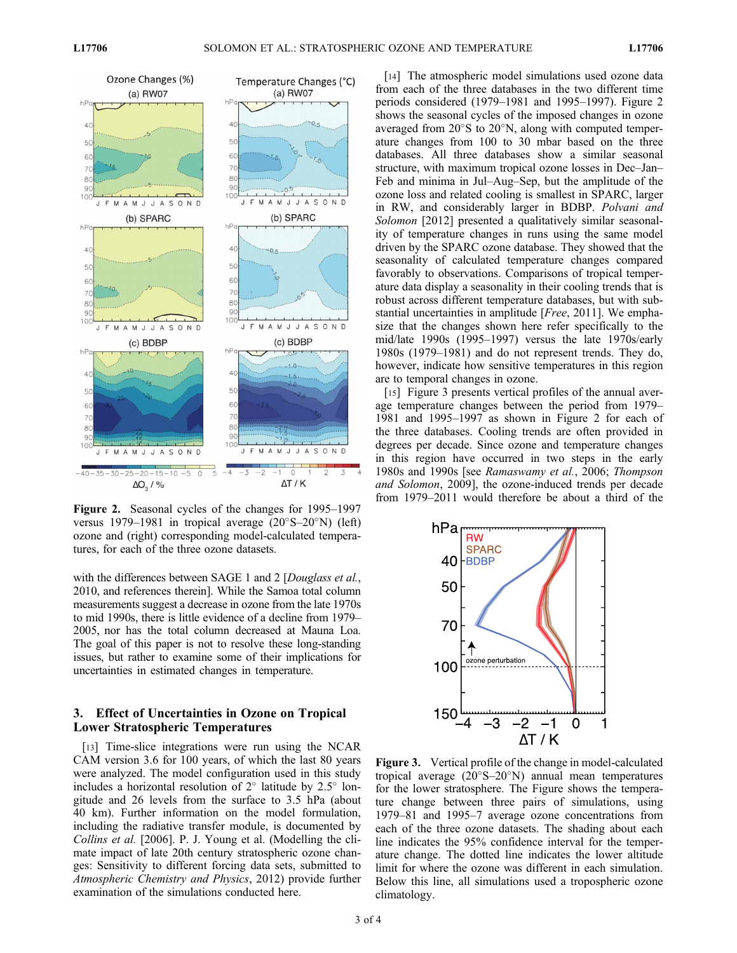

Figure 2. Seasonal cycles of the changes for 1995–1997 versus 1979–1981 in tropical average  $(20^{\circ}S-20^{\circ}N)$  (left) ozone and (right) corresponding model-calculated temperatures, for each of the three ozone datasets.

with the differences between SAGE 1 and 2 [*Douglass et al.*, 2010, and references therein]. While the Samoa total column measurements suggest a decrease in ozone from the late 1970s to mid 1990s, there is little evidence of a decline from 1979– 2005, nor has the total column decreased at Mauna Loa. The goal of this paper is not to resolve these long-standing issues, but rather to examine some of their implications for uncertainties in estimated changes in temperature.

## 3. Effect of Uncertainties in Ozone on Tropical Lower Stratospheric Temperatures

[13] Time-slice integrations were run using the NCAR CAM version 3.6 for 100 years, of which the last 80 years were analyzed. The model configuration used in this study includes a horizontal resolution of  $2^{\circ}$  latitude by  $2.5^{\circ}$  longitude and 26 levels from the surface to 3.5 hPa (about 40 km). Further information on the model formulation, including the radiative transfer module, is documented by Collins et al. [2006]. P. J. Young et al. (Modelling the climate impact of late 20th century stratospheric ozone changes: Sensitivity to different forcing data sets, submitted to Atmospheric Chemistry and Physics, 2012) provide further examination of the simulations conducted here.

[14] The atmospheric model simulations used ozone data from each of the three databases in the two different time periods considered (1979–1981 and 1995–1997). Figure 2 shows the seasonal cycles of the imposed changes in ozone averaged from  $20^{\circ}$ S to  $20^{\circ}$ N, along with computed temperature changes from 100 to 30 mbar based on the three databases. All three databases show a similar seasonal structure, with maximum tropical ozone losses in Dec–Jan– Feb and minima in Jul–Aug–Sep, but the amplitude of the ozone loss and related cooling is smallest in SPARC, larger in RW, and considerably larger in BDBP. Polvani and Solomon [2012] presented a qualitatively similar seasonality of temperature changes in runs using the same model driven by the SPARC ozone database. They showed that the seasonality of calculated temperature changes compared favorably to observations. Comparisons of tropical temperature data display a seasonality in their cooling trends that is robust across different temperature databases, but with substantial uncertainties in amplitude [Free, 2011]. We emphasize that the changes shown here refer specifically to the mid/late 1990s (1995–1997) versus the late 1970s/early 1980s (1979–1981) and do not represent trends. They do, however, indicate how sensitive temperatures in this region are to temporal changes in ozone.

[15] Figure 3 presents vertical profiles of the annual average temperature changes between the period from 1979– 1981 and 1995–1997 as shown in Figure 2 for each of the three databases. Cooling trends are often provided in degrees per decade. Since ozone and temperature changes in this region have occurred in two steps in the early 1980s and 1990s [see Ramaswamy et al., 2006; Thompson and Solomon, 2009], the ozone-induced trends per decade from 1979–2011 would therefore be about a third of the



Figure 3. Vertical profile of the change in model-calculated tropical average  $(20^{\circ}S-20^{\circ}N)$  annual mean temperatures for the lower stratosphere. The Figure shows the temperature change between three pairs of simulations, using 1979–81 and 1995–7 average ozone concentrations from each of the three ozone datasets. The shading about each line indicates the 95% confidence interval for the temperature change. The dotted line indicates the lower altitude limit for where the ozone was different in each simulation. Below this line, all simulations used a tropospheric ozone climatology.